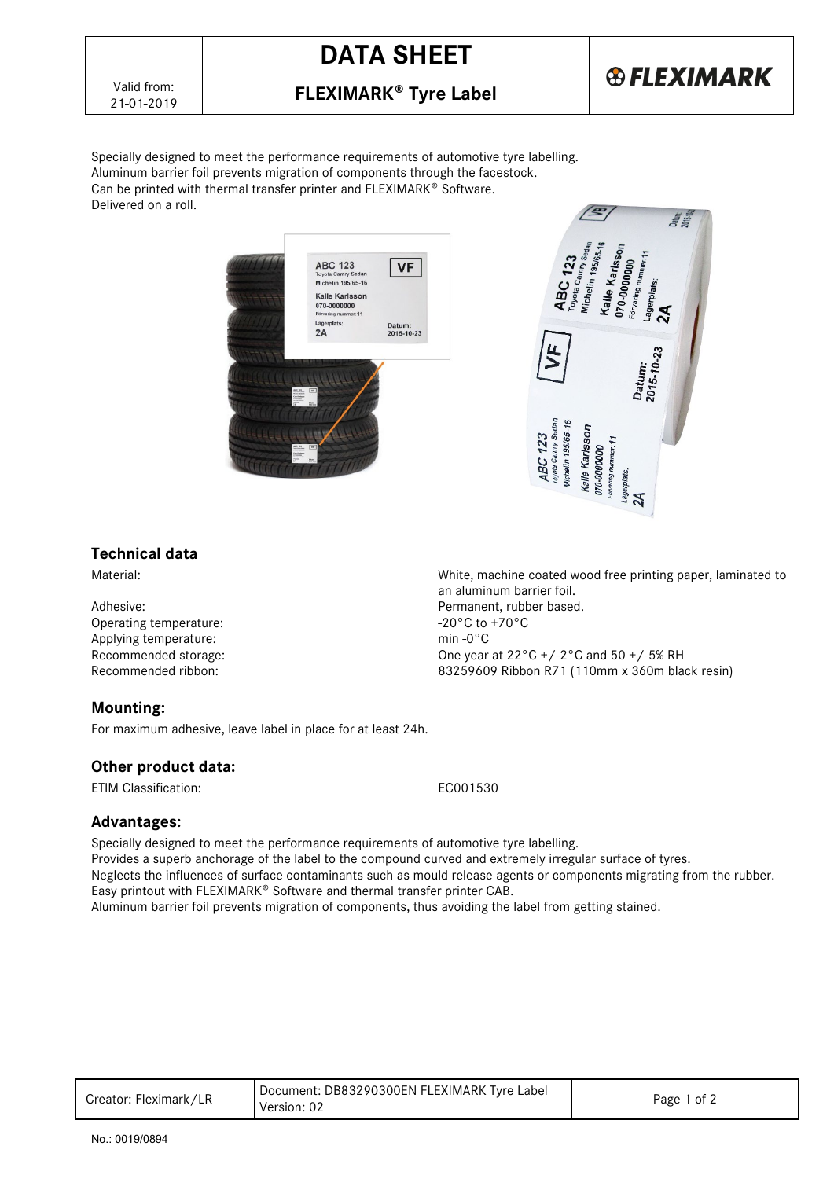# **DATA SHEET**



## 21-01-2019 **FLEXIMARK Tyre Label**

Specially designed to meet the performance requirements of automotive tyre labelling. Aluminum barrier foil prevents migration of components through the facestock. Can be printed with thermal transfer printer and FLEXIMARK® Software. Delivered on a roll.





### **Technical data**

Operating temperature:  $-20^{\circ}$ C to +70°C to +70°C to +70°C to +70°C to +70°C to +70°C to +70°C to +70°C to +70°C to +70°C to +70°C to +70°C to +70°C to +70°C to +70°C to +70°C to +70°C to +70°C to +70°C to +70°C to +70°C Applying temperature:

### **Mounting:**

For maximum adhesive, leave label in place for at least 24h.

#### **Other product data:**

ETIM Classification: EC001530

### **Advantages:**

Specially designed to meet the performance requirements of automotive tyre labelling. Provides a superb anchorage of the label to the compound curved and extremely irregular surface of tyres. Neglects the influences of surface contaminants such as mould release agents or components migrating from the rubber. Easy printout with FLEXIMARK<sup>®</sup> Software and thermal transfer printer CAB. Aluminum barrier foil prevents migration of components, thus avoiding the label from getting stained.

| Creator: Fleximark/LR | Document: DB83290300EN FLEXIMARK Tyre Label<br>Version: 02 | Page 1 of 2 |
|-----------------------|------------------------------------------------------------|-------------|
|-----------------------|------------------------------------------------------------|-------------|

Material: Material: Material: Monocommunity machine coated wood free printing paper, laminated to an aluminum barrier foil. Adhesive: Permanent, rubber based.<br>
Operating temperature: example and the set of the set of the set of the set of the set of the set of the set o<br>
Adhesive:  $-20^{\circ}$ C to  $+70^{\circ}$ C Recommended storage:<br>
Recommended ribbon:<br>
Recommended ribbon:<br>
Recommended ribbon:<br>
S3259609 Ribbon R71 (110mm x 360m bla 83259609 Ribbon R71 (110mm x 360m black resin)